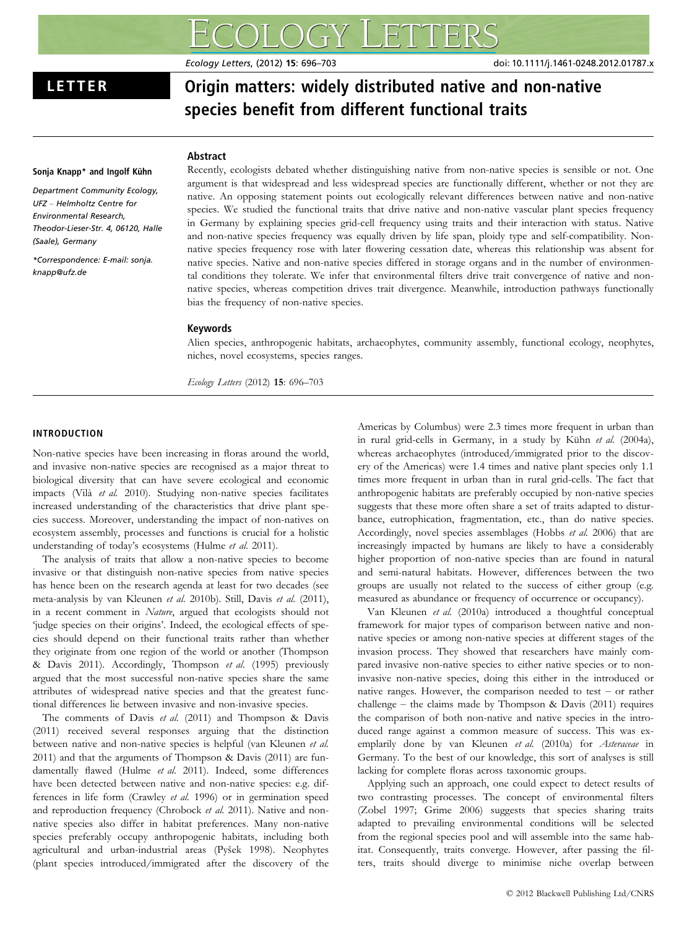# LETTER **Communist Communist Communist Communist Communist Communist Communist Communist Communist Communist Communist Communist Communist Communist Communist Communist Communist Communist Communist Communist Communist Comm** species benefit from different functional traits

# Abstract

# Sonja Knapp\* and Ingolf Kühn

Department Community Ecology, UFZ – Helmholtz Centre for Environmental Research, Theodor-Lieser-Str. 4, 06120, Halle (Saale), Germany

\*Correspondence: E-mail: sonja. knapp@ufz.de

Recently, ecologists debated whether distinguishing native from non-native species is sensible or not. One argument is that widespread and less widespread species are functionally different, whether or not they are native. An opposing statement points out ecologically relevant differences between native and non-native species. We studied the functional traits that drive native and non-native vascular plant species frequency in Germany by explaining species grid-cell frequency using traits and their interaction with status. Native and non-native species frequency was equally driven by life span, ploidy type and self-compatibility. Nonnative species frequency rose with later flowering cessation date, whereas this relationship was absent for native species. Native and non-native species differed in storage organs and in the number of environmental conditions they tolerate. We infer that environmental filters drive trait convergence of native and nonnative species, whereas competition drives trait divergence. Meanwhile, introduction pathways functionally bias the frequency of non-native species.

# Keywords

Alien species, anthropogenic habitats, archaeophytes, community assembly, functional ecology, neophytes, niches, novel ecosystems, species ranges.

Ecology Letters (2012) 15: 696–703

# INTRODUCTION

Non-native species have been increasing in floras around the world, and invasive non-native species are recognised as a major threat to biological diversity that can have severe ecological and economic impacts (Vilà et al. 2010). Studying non-native species facilitates increased understanding of the characteristics that drive plant species success. Moreover, understanding the impact of non-natives on ecosystem assembly, processes and functions is crucial for a holistic understanding of today's ecosystems (Hulme et al. 2011).

The analysis of traits that allow a non-native species to become invasive or that distinguish non-native species from native species has hence been on the research agenda at least for two decades (see meta-analysis by van Kleunen et al. 2010b). Still, Davis et al. (2011), in a recent comment in Nature, argued that ecologists should not 'judge species on their origins'. Indeed, the ecological effects of species should depend on their functional traits rather than whether they originate from one region of the world or another (Thompson & Davis 2011). Accordingly, Thompson et al. (1995) previously argued that the most successful non-native species share the same attributes of widespread native species and that the greatest functional differences lie between invasive and non-invasive species.

The comments of Davis et al. (2011) and Thompson & Davis (2011) received several responses arguing that the distinction between native and non-native species is helpful (van Kleunen et al. 2011) and that the arguments of Thompson & Davis (2011) are fundamentally flawed (Hulme et al. 2011). Indeed, some differences have been detected between native and non-native species: e.g. differences in life form (Crawley et al. 1996) or in germination speed and reproduction frequency (Chrobock et al. 2011). Native and nonnative species also differ in habitat preferences. Many non-native species preferably occupy anthropogenic habitats, including both agricultural and urban-industrial areas (Pyšek 1998). Neophytes (plant species introduced/immigrated after the discovery of the

Americas by Columbus) were 2.3 times more frequent in urban than in rural grid-cells in Germany, in a study by Kühn et al. (2004a), whereas archaeophytes (introduced/immigrated prior to the discovery of the Americas) were 1.4 times and native plant species only 1.1 times more frequent in urban than in rural grid-cells. The fact that anthropogenic habitats are preferably occupied by non-native species suggests that these more often share a set of traits adapted to disturbance, eutrophication, fragmentation, etc., than do native species. Accordingly, novel species assemblages (Hobbs et al. 2006) that are increasingly impacted by humans are likely to have a considerably higher proportion of non-native species than are found in natural and semi-natural habitats. However, differences between the two groups are usually not related to the success of either group (e.g. measured as abundance or frequency of occurrence or occupancy).

Van Kleunen et al. (2010a) introduced a thoughtful conceptual framework for major types of comparison between native and nonnative species or among non-native species at different stages of the invasion process. They showed that researchers have mainly compared invasive non-native species to either native species or to noninvasive non-native species, doing this either in the introduced or native ranges. However, the comparison needed to test – or rather challenge – the claims made by Thompson & Davis (2011) requires the comparison of both non-native and native species in the introduced range against a common measure of success. This was exemplarily done by van Kleunen et al. (2010a) for Asteraceae in Germany. To the best of our knowledge, this sort of analyses is still lacking for complete floras across taxonomic groups.

Applying such an approach, one could expect to detect results of two contrasting processes. The concept of environmental filters (Zobel 1997; Grime 2006) suggests that species sharing traits adapted to prevailing environmental conditions will be selected from the regional species pool and will assemble into the same habitat. Consequently, traits converge. However, after passing the filters, traits should diverge to minimise niche overlap between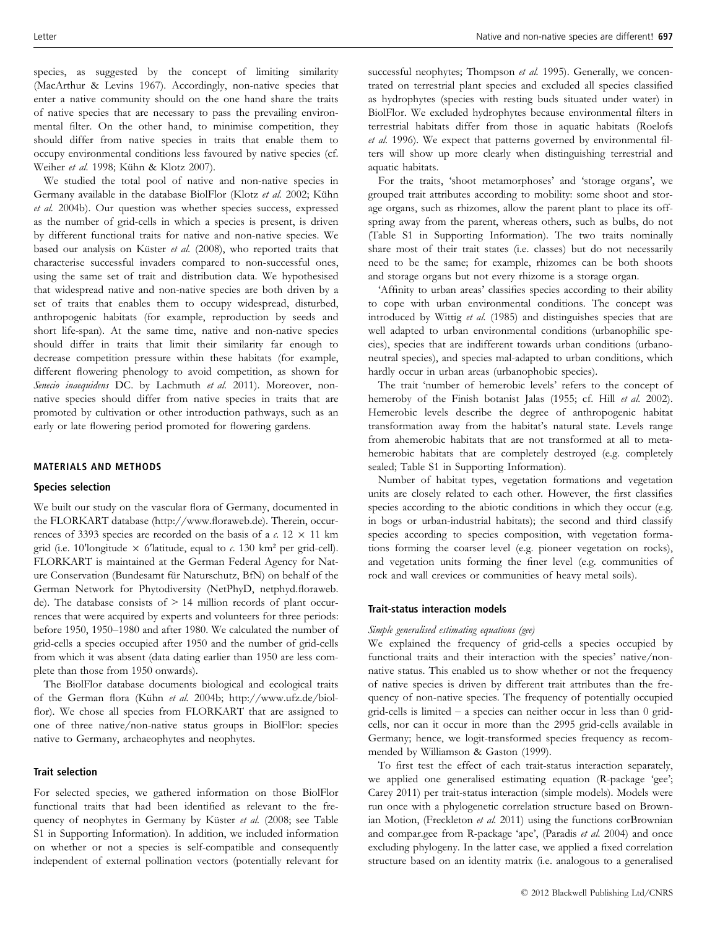species, as suggested by the concept of limiting similarity (MacArthur & Levins 1967). Accordingly, non-native species that enter a native community should on the one hand share the traits of native species that are necessary to pass the prevailing environmental filter. On the other hand, to minimise competition, they should differ from native species in traits that enable them to occupy environmental conditions less favoured by native species (cf. Weiher et al. 1998; Kühn & Klotz 2007).

We studied the total pool of native and non-native species in Germany available in the database BiolFlor (Klotz et al. 2002; Kühn et al. 2004b). Our question was whether species success, expressed as the number of grid-cells in which a species is present, is driven by different functional traits for native and non-native species. We based our analysis on Küster et al. (2008), who reported traits that characterise successful invaders compared to non-successful ones, using the same set of trait and distribution data. We hypothesised that widespread native and non-native species are both driven by a set of traits that enables them to occupy widespread, disturbed, anthropogenic habitats (for example, reproduction by seeds and short life-span). At the same time, native and non-native species should differ in traits that limit their similarity far enough to decrease competition pressure within these habitats (for example, different flowering phenology to avoid competition, as shown for Senecio inaequidens DC. by Lachmuth et al. 2011). Moreover, nonnative species should differ from native species in traits that are promoted by cultivation or other introduction pathways, such as an early or late flowering period promoted for flowering gardens.

# MATERIALS AND METHODS

#### Species selection

We built our study on the vascular flora of Germany, documented in the FLORKART database (http://www.floraweb.de). Therein, occurrences of 3393 species are recorded on the basis of a  $c$ . 12  $\times$  11 km grid (i.e. 10'longitude  $\times$  6'latitude, equal to c. 130 km<sup>2</sup> per grid-cell). FLORKART is maintained at the German Federal Agency for Nature Conservation (Bundesamt für Naturschutz, BfN) on behalf of the German Network for Phytodiversity (NetPhyD, netphyd.floraweb. de). The database consists of  $> 14$  million records of plant occurrences that were acquired by experts and volunteers for three periods: before 1950, 1950–1980 and after 1980. We calculated the number of grid-cells a species occupied after 1950 and the number of grid-cells from which it was absent (data dating earlier than 1950 are less complete than those from 1950 onwards).

The BiolFlor database documents biological and ecological traits of the German flora (Kühn et al. 2004b; http://www.ufz.de/biolflor). We chose all species from FLORKART that are assigned to one of three native/non-native status groups in BiolFlor: species native to Germany, archaeophytes and neophytes.

# Trait selection

For selected species, we gathered information on those BiolFlor functional traits that had been identified as relevant to the frequency of neophytes in Germany by Küster et al. (2008; see Table S1 in Supporting Information). In addition, we included information on whether or not a species is self-compatible and consequently independent of external pollination vectors (potentially relevant for

successful neophytes; Thompson et al. 1995). Generally, we concentrated on terrestrial plant species and excluded all species classified as hydrophytes (species with resting buds situated under water) in BiolFlor. We excluded hydrophytes because environmental filters in terrestrial habitats differ from those in aquatic habitats (Roelofs et al. 1996). We expect that patterns governed by environmental filters will show up more clearly when distinguishing terrestrial and aquatic habitats.

For the traits, 'shoot metamorphoses' and 'storage organs', we grouped trait attributes according to mobility: some shoot and storage organs, such as rhizomes, allow the parent plant to place its offspring away from the parent, whereas others, such as bulbs, do not (Table S1 in Supporting Information). The two traits nominally share most of their trait states (i.e. classes) but do not necessarily need to be the same; for example, rhizomes can be both shoots and storage organs but not every rhizome is a storage organ.

'Affinity to urban areas' classifies species according to their ability to cope with urban environmental conditions. The concept was introduced by Wittig et al. (1985) and distinguishes species that are well adapted to urban environmental conditions (urbanophilic species), species that are indifferent towards urban conditions (urbanoneutral species), and species mal-adapted to urban conditions, which hardly occur in urban areas (urbanophobic species).

The trait 'number of hemerobic levels' refers to the concept of hemeroby of the Finish botanist Jalas (1955; cf. Hill et al. 2002). Hemerobic levels describe the degree of anthropogenic habitat transformation away from the habitat's natural state. Levels range from ahemerobic habitats that are not transformed at all to metahemerobic habitats that are completely destroyed (e.g. completely sealed; Table S1 in Supporting Information).

Number of habitat types, vegetation formations and vegetation units are closely related to each other. However, the first classifies species according to the abiotic conditions in which they occur (e.g. in bogs or urban-industrial habitats); the second and third classify species according to species composition, with vegetation formations forming the coarser level (e.g. pioneer vegetation on rocks), and vegetation units forming the finer level (e.g. communities of rock and wall crevices or communities of heavy metal soils).

# Trait-status interaction models

#### Simple generalised estimating equations (gee)

We explained the frequency of grid-cells a species occupied by functional traits and their interaction with the species' native/nonnative status. This enabled us to show whether or not the frequency of native species is driven by different trait attributes than the frequency of non-native species. The frequency of potentially occupied grid-cells is limited – a species can neither occur in less than  $0$  gridcells, nor can it occur in more than the 2995 grid-cells available in Germany; hence, we logit-transformed species frequency as recommended by Williamson & Gaston (1999).

To first test the effect of each trait-status interaction separately, we applied one generalised estimating equation (R-package 'gee'; Carey 2011) per trait-status interaction (simple models). Models were run once with a phylogenetic correlation structure based on Brownian Motion, (Freckleton et al. 2011) using the functions corBrownian and compar.gee from R-package 'ape', (Paradis et al. 2004) and once excluding phylogeny. In the latter case, we applied a fixed correlation structure based on an identity matrix (i.e. analogous to a generalised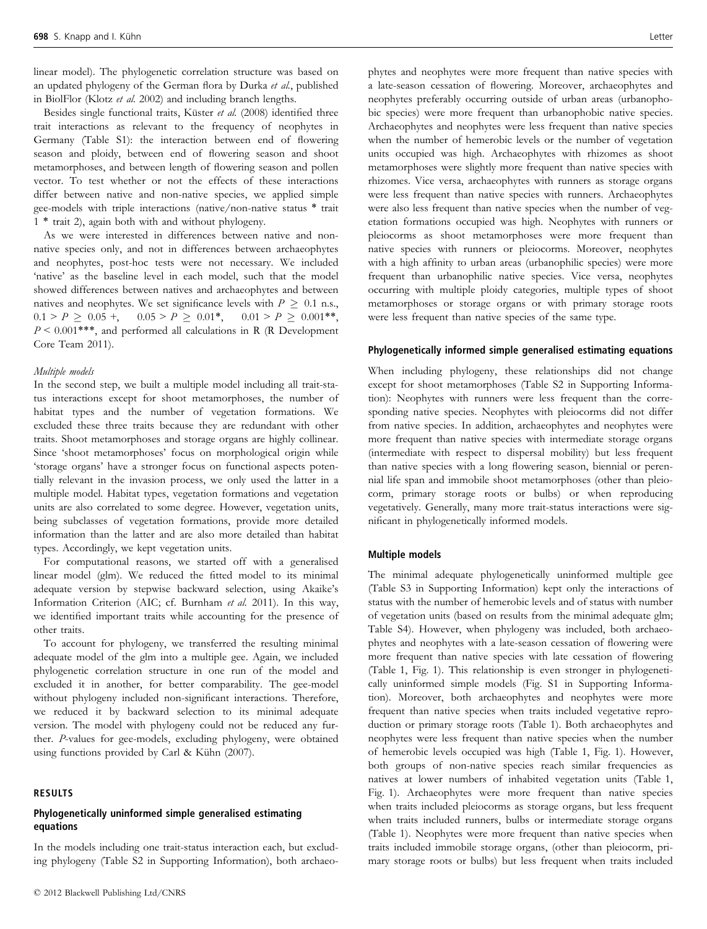linear model). The phylogenetic correlation structure was based on an updated phylogeny of the German flora by Durka et al., published in BiolFlor (Klotz et al. 2002) and including branch lengths.

Besides single functional traits, Küster et al. (2008) identified three trait interactions as relevant to the frequency of neophytes in Germany (Table S1): the interaction between end of flowering season and ploidy, between end of flowering season and shoot metamorphoses, and between length of flowering season and pollen vector. To test whether or not the effects of these interactions differ between native and non-native species, we applied simple gee-models with triple interactions (native/non-native status \* trait 1 \* trait 2), again both with and without phylogeny.

As we were interested in differences between native and nonnative species only, and not in differences between archaeophytes and neophytes, post-hoc tests were not necessary. We included 'native' as the baseline level in each model, such that the model showed differences between natives and archaeophytes and between natives and neophytes. We set significance levels with  $P \geq 0.1$  n.s.,  $0.1 > P \ge 0.05 +$ ,  $0.05 > P \ge 0.01^*$ ,  $0.01 > P \ge 0.001^{**}$ ,  $P \le 0.001$ <sup>\*\*\*</sup>, and performed all calculations in R (R Development Core Team 2011).

#### Multiple models

In the second step, we built a multiple model including all trait-status interactions except for shoot metamorphoses, the number of habitat types and the number of vegetation formations. We excluded these three traits because they are redundant with other traits. Shoot metamorphoses and storage organs are highly collinear. Since 'shoot metamorphoses' focus on morphological origin while 'storage organs' have a stronger focus on functional aspects potentially relevant in the invasion process, we only used the latter in a multiple model. Habitat types, vegetation formations and vegetation units are also correlated to some degree. However, vegetation units, being subclasses of vegetation formations, provide more detailed information than the latter and are also more detailed than habitat types. Accordingly, we kept vegetation units.

For computational reasons, we started off with a generalised linear model (glm). We reduced the fitted model to its minimal adequate version by stepwise backward selection, using Akaike's Information Criterion (AIC; cf. Burnham et al. 2011). In this way, we identified important traits while accounting for the presence of other traits.

To account for phylogeny, we transferred the resulting minimal adequate model of the glm into a multiple gee. Again, we included phylogenetic correlation structure in one run of the model and excluded it in another, for better comparability. The gee-model without phylogeny included non-significant interactions. Therefore, we reduced it by backward selection to its minimal adequate version. The model with phylogeny could not be reduced any further. P-values for gee-models, excluding phylogeny, were obtained using functions provided by Carl & Kühn (2007).

# RESULTS

# Phylogenetically uninformed simple generalised estimating equations

In the models including one trait-status interaction each, but excluding phylogeny (Table S2 in Supporting Information), both archaeophytes and neophytes were more frequent than native species with a late-season cessation of flowering. Moreover, archaeophytes and neophytes preferably occurring outside of urban areas (urbanophobic species) were more frequent than urbanophobic native species. Archaeophytes and neophytes were less frequent than native species when the number of hemerobic levels or the number of vegetation units occupied was high. Archaeophytes with rhizomes as shoot metamorphoses were slightly more frequent than native species with rhizomes. Vice versa, archaeophytes with runners as storage organs were less frequent than native species with runners. Archaeophytes were also less frequent than native species when the number of vegetation formations occupied was high. Neophytes with runners or pleiocorms as shoot metamorphoses were more frequent than native species with runners or pleiocorms. Moreover, neophytes with a high affinity to urban areas (urbanophilic species) were more frequent than urbanophilic native species. Vice versa, neophytes occurring with multiple ploidy categories, multiple types of shoot metamorphoses or storage organs or with primary storage roots were less frequent than native species of the same type.

#### Phylogenetically informed simple generalised estimating equations

When including phylogeny, these relationships did not change except for shoot metamorphoses (Table S2 in Supporting Information): Neophytes with runners were less frequent than the corresponding native species. Neophytes with pleiocorms did not differ from native species. In addition, archaeophytes and neophytes were more frequent than native species with intermediate storage organs (intermediate with respect to dispersal mobility) but less frequent than native species with a long flowering season, biennial or perennial life span and immobile shoot metamorphoses (other than pleiocorm, primary storage roots or bulbs) or when reproducing vegetatively. Generally, many more trait-status interactions were significant in phylogenetically informed models.

#### Multiple models

The minimal adequate phylogenetically uninformed multiple gee (Table S3 in Supporting Information) kept only the interactions of status with the number of hemerobic levels and of status with number of vegetation units (based on results from the minimal adequate glm; Table S4). However, when phylogeny was included, both archaeophytes and neophytes with a late-season cessation of flowering were more frequent than native species with late cessation of flowering (Table 1, Fig. 1). This relationship is even stronger in phylogenetically uninformed simple models (Fig. S1 in Supporting Information). Moreover, both archaeophytes and neophytes were more frequent than native species when traits included vegetative reproduction or primary storage roots (Table 1). Both archaeophytes and neophytes were less frequent than native species when the number of hemerobic levels occupied was high (Table 1, Fig. 1). However, both groups of non-native species reach similar frequencies as natives at lower numbers of inhabited vegetation units (Table 1, Fig. 1). Archaeophytes were more frequent than native species when traits included pleiocorms as storage organs, but less frequent when traits included runners, bulbs or intermediate storage organs (Table 1). Neophytes were more frequent than native species when traits included immobile storage organs, (other than pleiocorm, primary storage roots or bulbs) but less frequent when traits included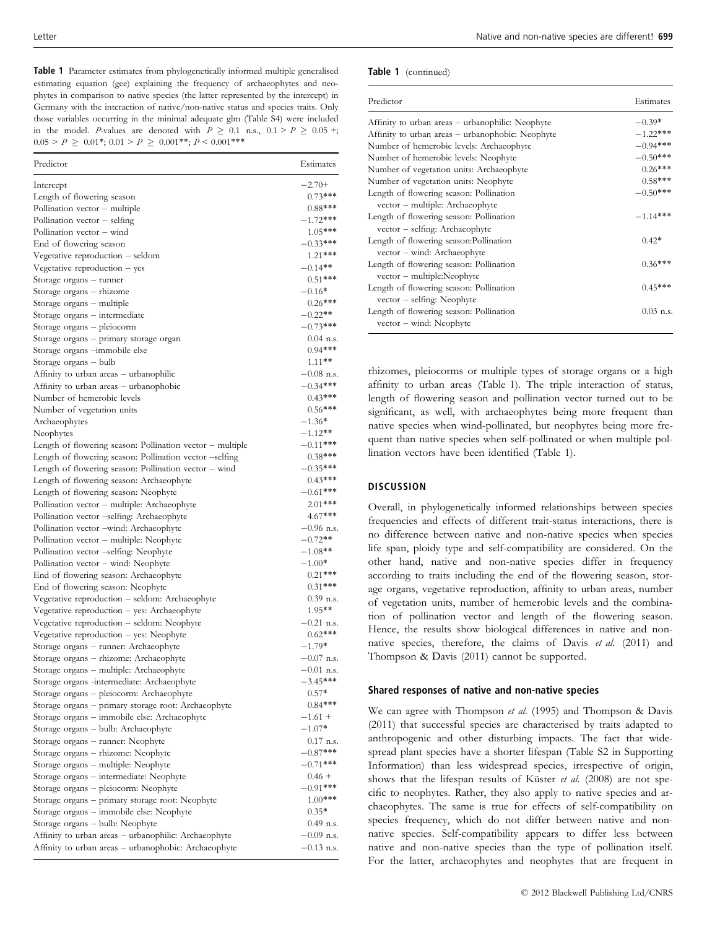Table 1 Parameter estimates from phylogenetically informed multiple generalised estimating equation (gee) explaining the frequency of archaeophytes and neophytes in comparison to native species (the latter represented by the intercept) in Germany with the interaction of native/non-native status and species traits. Only those variables occurring in the minimal adequate glm (Table S4) were included in the model. P-values are denoted with  $P \ge 0.1$  n.s.,  $0.1 > P \ge 0.05 +$ ;  $0.05 > P \ge 0.01^*; 0.01 > P \ge 0.001^{**}; P \le 0.001^{***}$ 

| Predictor                                                                                       | Estimates                  |
|-------------------------------------------------------------------------------------------------|----------------------------|
| Intercept                                                                                       | $-2.70+$                   |
| Length of flowering season                                                                      | $0.73***$                  |
| Pollination vector – multiple                                                                   | $0.88***$                  |
| Pollination vector – selfing                                                                    | $-1.72***$                 |
| Pollination vector – wind                                                                       | $1.05***$                  |
| End of flowering season                                                                         | $-0.33***$                 |
| Vegetative reproduction - seldom                                                                | $1.21***$                  |
| Vegetative reproduction – yes                                                                   | $-0.14**$                  |
| Storage organs - runner                                                                         | $0.51***$                  |
| Storage organs – rhizome                                                                        | $-0.16*$                   |
| Storage organs - multiple                                                                       | $0.26***$                  |
| Storage organs – intermediate                                                                   | $-0.22**$                  |
| Storage organs - pleiocorm                                                                      | $-0.73***$                 |
| Storage organs – primary storage organ                                                          | $0.04$ n.s.                |
| Storage organs -immobile else                                                                   | $0.94***$                  |
| Storage organs – bulb                                                                           | $1.11**$                   |
| Affinity to urban areas - urbanophilic                                                          | $-0.08$ n.s.               |
| Affinity to urban areas - urbanophobic                                                          | $-0.34***$                 |
| Number of hemerobic levels                                                                      | $0.43***$                  |
| Number of vegetation units                                                                      | $0.56***$                  |
| Archaeophytes                                                                                   | $-1.36*$                   |
| Neophytes                                                                                       | $-1.12**$                  |
| Length of flowering season: Pollination vector - multiple                                       | $-0.11***$                 |
| Length of flowering season: Pollination vector -selfing                                         | $0.38***$                  |
| Length of flowering season: Pollination vector - wind                                           | $-0.35***$                 |
| Length of flowering season: Archaeophyte                                                        | $0.43***$                  |
| Length of flowering season: Neophyte                                                            | $-0.61***$                 |
| Pollination vector - multiple: Archaeophyte                                                     | $2.01***$                  |
| Pollination vector -selfing: Archaeophyte                                                       | $4.67***$                  |
| Pollination vector -wind: Archaeophyte                                                          | $-0.96$ n.s.               |
| Pollination vector - multiple: Neophyte                                                         | $-0.72**$                  |
| Pollination vector -selfing: Neophyte                                                           | $-1.08**$                  |
| Pollination vector - wind: Neophyte                                                             | $-1.00*$                   |
| End of flowering season: Archaeophyte                                                           | $0.21***$                  |
| End of flowering season: Neophyte                                                               | $0.31***$                  |
| Vegetative reproduction - seldom: Archaeophyte                                                  | $0.39$ n.s.                |
| Vegetative reproduction - yes: Archaeophyte                                                     | $1.95**$                   |
| Vegetative reproduction - seldom: Neophyte                                                      | $-0.21$ n.s.               |
| Vegetative reproduction - yes: Neophyte                                                         | $0.62***$                  |
| Storage organs - runner: Archaeophyte                                                           | $-1.79*$<br>$-0.07$ n.s.   |
| Storage organs - rhizome: Archaeophyte                                                          |                            |
| Storage organs - multiple: Archaeophyte<br>Storage organs -intermediate: Archaeophyte           | $-0.01$ n.s.<br>$-3.45***$ |
|                                                                                                 | $0.57*$                    |
| Storage organs - pleiocorm: Archaeophyte<br>Storage organs - primary storage root: Archaeophyte | $0.84***$                  |
| Storage organs - immobile else: Archaeophyte                                                    | $-1.61 +$                  |
| Storage organs - bulb: Archaeophyte                                                             | $-1.07*$                   |
| Storage organs - runner: Neophyte                                                               |                            |
| Storage organs - rhizome: Neophyte                                                              | $0.17$ n.s.<br>$-0.87***$  |
| Storage organs - multiple: Neophyte                                                             | $-0.71***$                 |
| Storage organs - intermediate: Neophyte                                                         | $0.46 +$                   |
| Storage organs - pleiocorm: Neophyte                                                            | $-0.91***$                 |
| Storage organs - primary storage root: Neophyte                                                 | $1.00***$                  |
| Storage organs - immobile else: Neophyte                                                        | $0.35*$                    |
| Storage organs – bulb: Neophyte                                                                 | $0.49$ n.s.                |
| Affinity to urban areas - urbanophilic: Archaeophyte                                            | $-0.09$ n.s.               |
| Affinity to urban areas - urbanophobic: Archaeophyte                                            | $-0.13$ n.s.               |
|                                                                                                 |                            |

| Table 1 | (continued) |
|---------|-------------|
|---------|-------------|

| Predictor                                        | Estimates   |
|--------------------------------------------------|-------------|
| Affinity to urban areas - urbanophilic: Neophyte | $-0.39*$    |
| Affinity to urban areas - urbanophobic: Neophyte | $-1.22***$  |
| Number of hemerobic levels: Archaeophyte         | $-0.94***$  |
| Number of hemerobic levels: Neophyte             | $-0.50***$  |
| Number of vegetation units: Archaeophyte         | $0.26***$   |
| Number of vegetation units: Neophyte             | $0.58***$   |
| Length of flowering season: Pollination          | $-0.50***$  |
| vector - multiple: Archaeophyte                  |             |
| Length of flowering season: Pollination          | $-1.14***$  |
| vector – selfing: Archaeophyte                   |             |
| Length of flowering season: Pollination          | $0.42*$     |
| $vector - wind: Archaeophyte$                    |             |
| Length of flowering season: Pollination          | $0.36***$   |
| $vector - multiple:Neophyte$                     |             |
| Length of flowering season: Pollination          | $0.45***$   |
| $vector - selfing: Neophyte$                     |             |
| Length of flowering season: Pollination          | $0.03$ n.s. |
| $vector - wind: Neophyte$                        |             |

rhizomes, pleiocorms or multiple types of storage organs or a high affinity to urban areas (Table 1). The triple interaction of status, length of flowering season and pollination vector turned out to be significant, as well, with archaeophytes being more frequent than native species when wind-pollinated, but neophytes being more frequent than native species when self-pollinated or when multiple pollination vectors have been identified (Table 1).

#### **DISCUSSION**

Overall, in phylogenetically informed relationships between species frequencies and effects of different trait-status interactions, there is no difference between native and non-native species when species life span, ploidy type and self-compatibility are considered. On the other hand, native and non-native species differ in frequency according to traits including the end of the flowering season, storage organs, vegetative reproduction, affinity to urban areas, number of vegetation units, number of hemerobic levels and the combination of pollination vector and length of the flowering season. Hence, the results show biological differences in native and nonnative species, therefore, the claims of Davis et al. (2011) and Thompson & Davis (2011) cannot be supported.

# Shared responses of native and non-native species

We can agree with Thompson et al. (1995) and Thompson & Davis (2011) that successful species are characterised by traits adapted to anthropogenic and other disturbing impacts. The fact that widespread plant species have a shorter lifespan (Table S2 in Supporting Information) than less widespread species, irrespective of origin, shows that the lifespan results of Küster et al. (2008) are not specific to neophytes. Rather, they also apply to native species and archaeophytes. The same is true for effects of self-compatibility on species frequency, which do not differ between native and nonnative species. Self-compatibility appears to differ less between native and non-native species than the type of pollination itself. For the latter, archaeophytes and neophytes that are frequent in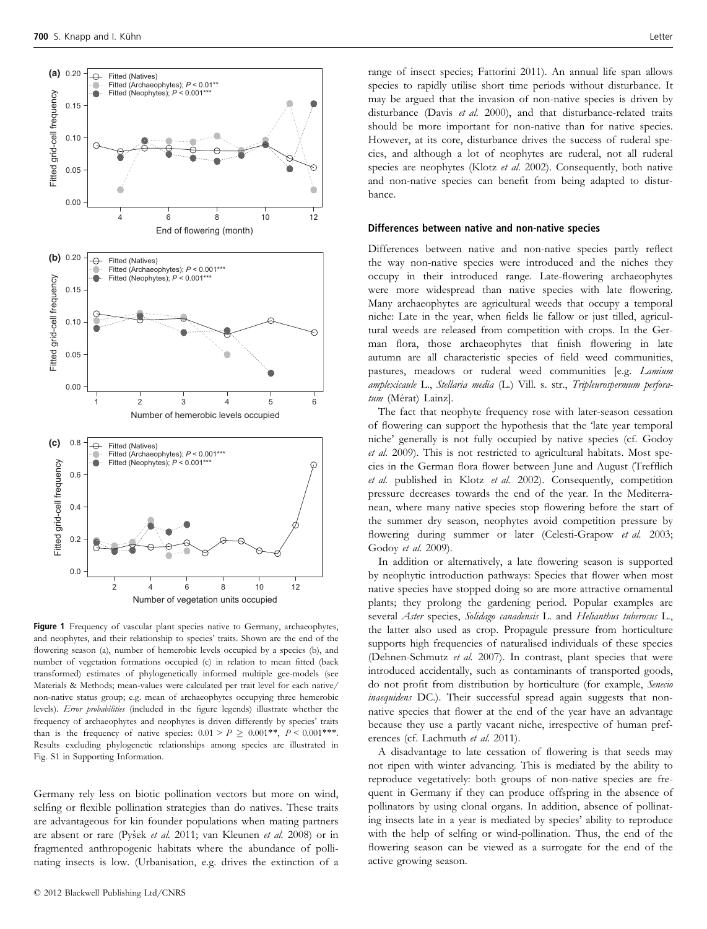

Figure 1 Frequency of vascular plant species native to Germany, archaeophytes, and neophytes, and their relationship to species' traits. Shown are the end of the flowering season (a), number of hemerobic levels occupied by a species (b), and number of vegetation formations occupied (c) in relation to mean fitted (back transformed) estimates of phylogenetically informed multiple gee-models (see Materials & Methods; mean-values were calculated per trait level for each native/ non-native status group; e.g. mean of archaeophytes occupying three hemerobic levels). Error probabilities (included in the figure legends) illustrate whether the frequency of archaeophytes and neophytes is driven differently by species' traits than is the frequency of native species:  $0.01 > P \ge 0.001**$ ,  $P \le 0.001***$ . Results excluding phylogenetic relationships among species are illustrated in Fig. S1 in Supporting Information.

Germany rely less on biotic pollination vectors but more on wind, selfing or flexible pollination strategies than do natives. These traits are advantageous for kin founder populations when mating partners are absent or rare (Pysek et al. 2011; van Kleunen et al. 2008) or in fragmented anthropogenic habitats where the abundance of pollinating insects is low. (Urbanisation, e.g. drives the extinction of a

range of insect species; Fattorini 2011). An annual life span allows species to rapidly utilise short time periods without disturbance. It may be argued that the invasion of non-native species is driven by disturbance (Davis et al. 2000), and that disturbance-related traits should be more important for non-native than for native species. However, at its core, disturbance drives the success of ruderal species, and although a lot of neophytes are ruderal, not all ruderal species are neophytes (Klotz et al. 2002). Consequently, both native and non-native species can benefit from being adapted to disturbance.

#### Differences between native and non-native species

Differences between native and non-native species partly reflect the way non-native species were introduced and the niches they occupy in their introduced range. Late-flowering archaeophytes were more widespread than native species with late flowering. Many archaeophytes are agricultural weeds that occupy a temporal niche: Late in the year, when fields lie fallow or just tilled, agricultural weeds are released from competition with crops. In the German flora, those archaeophytes that finish flowering in late autumn are all characteristic species of field weed communities, pastures, meadows or ruderal weed communities [e.g. *Lamium* amplexicaule L., Stellaria media (L.) Vill. s. str., Tripleurospermum perforatum (Mérat) Lainz].

The fact that neophyte frequency rose with later-season cessation of flowering can support the hypothesis that the 'late year temporal niche' generally is not fully occupied by native species (cf. Godoy et al. 2009). This is not restricted to agricultural habitats. Most species in the German flora flower between June and August (Trefflich et al. published in Klotz et al. 2002). Consequently, competition pressure decreases towards the end of the year. In the Mediterranean, where many native species stop flowering before the start of the summer dry season, neophytes avoid competition pressure by flowering during summer or later (Celesti-Grapow et al. 2003; Godoy et al. 2009).

In addition or alternatively, a late flowering season is supported by neophytic introduction pathways: Species that flower when most native species have stopped doing so are more attractive ornamental plants; they prolong the gardening period. Popular examples are several Aster species, Solidago canadensis L. and Helianthus tuberosus L., the latter also used as crop. Propagule pressure from horticulture supports high frequencies of naturalised individuals of these species (Dehnen-Schmutz et al. 2007). In contrast, plant species that were introduced accidentally, such as contaminants of transported goods, do not profit from distribution by horticulture (for example, Senecio inaequidens DC.). Their successful spread again suggests that nonnative species that flower at the end of the year have an advantage because they use a partly vacant niche, irrespective of human preferences (cf. Lachmuth et al. 2011).

A disadvantage to late cessation of flowering is that seeds may not ripen with winter advancing. This is mediated by the ability to reproduce vegetatively: both groups of non-native species are frequent in Germany if they can produce offspring in the absence of pollinators by using clonal organs. In addition, absence of pollinating insects late in a year is mediated by species' ability to reproduce with the help of selfing or wind-pollination. Thus, the end of the flowering season can be viewed as a surrogate for the end of the active growing season.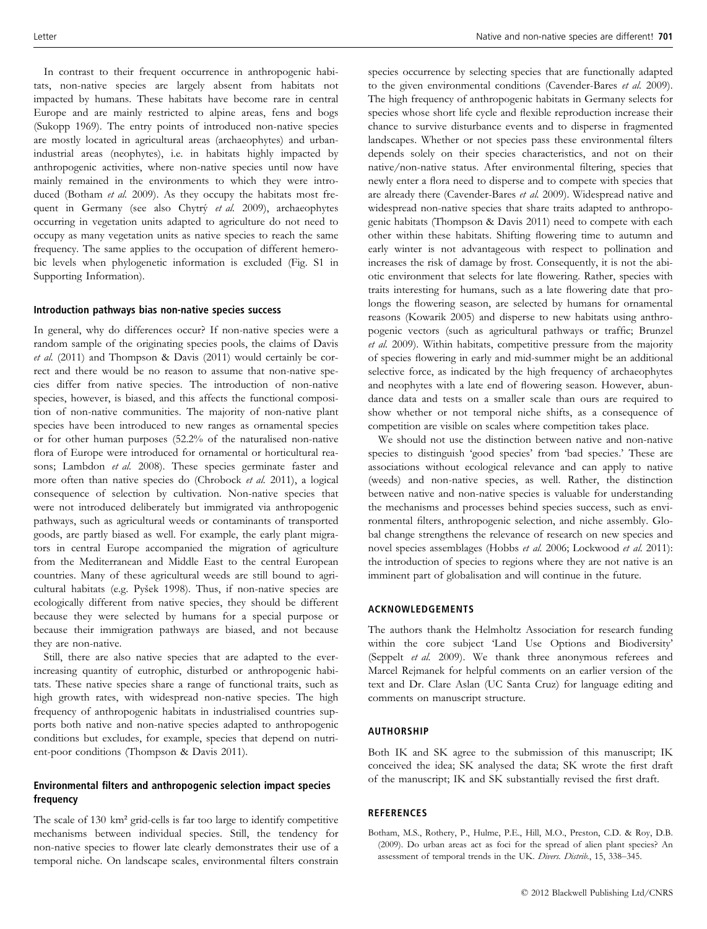In contrast to their frequent occurrence in anthropogenic habitats, non-native species are largely absent from habitats not impacted by humans. These habitats have become rare in central Europe and are mainly restricted to alpine areas, fens and bogs (Sukopp 1969). The entry points of introduced non-native species are mostly located in agricultural areas (archaeophytes) and urbanindustrial areas (neophytes), i.e. in habitats highly impacted by anthropogenic activities, where non-native species until now have mainly remained in the environments to which they were introduced (Botham et al. 2009). As they occupy the habitats most frequent in Germany (see also Chytrý et al. 2009), archaeophytes occurring in vegetation units adapted to agriculture do not need to occupy as many vegetation units as native species to reach the same frequency. The same applies to the occupation of different hemerobic levels when phylogenetic information is excluded (Fig. S1 in Supporting Information).

# Introduction pathways bias non-native species success

In general, why do differences occur? If non-native species were a random sample of the originating species pools, the claims of Davis et al. (2011) and Thompson & Davis (2011) would certainly be correct and there would be no reason to assume that non-native species differ from native species. The introduction of non-native species, however, is biased, and this affects the functional composition of non-native communities. The majority of non-native plant species have been introduced to new ranges as ornamental species or for other human purposes (52.2% of the naturalised non-native flora of Europe were introduced for ornamental or horticultural reasons; Lambdon et al. 2008). These species germinate faster and more often than native species do (Chrobock et al. 2011), a logical consequence of selection by cultivation. Non-native species that were not introduced deliberately but immigrated via anthropogenic pathways, such as agricultural weeds or contaminants of transported goods, are partly biased as well. For example, the early plant migrators in central Europe accompanied the migration of agriculture from the Mediterranean and Middle East to the central European countries. Many of these agricultural weeds are still bound to agricultural habitats (e.g. Pyšek 1998). Thus, if non-native species are ecologically different from native species, they should be different because they were selected by humans for a special purpose or because their immigration pathways are biased, and not because they are non-native.

Still, there are also native species that are adapted to the everincreasing quantity of eutrophic, disturbed or anthropogenic habitats. These native species share a range of functional traits, such as high growth rates, with widespread non-native species. The high frequency of anthropogenic habitats in industrialised countries supports both native and non-native species adapted to anthropogenic conditions but excludes, for example, species that depend on nutrient-poor conditions (Thompson & Davis 2011).

# Environmental filters and anthropogenic selection impact species frequency

The scale of 130 km² grid-cells is far too large to identify competitive mechanisms between individual species. Still, the tendency for non-native species to flower late clearly demonstrates their use of a temporal niche. On landscape scales, environmental filters constrain

species occurrence by selecting species that are functionally adapted to the given environmental conditions (Cavender-Bares et al. 2009). The high frequency of anthropogenic habitats in Germany selects for species whose short life cycle and flexible reproduction increase their chance to survive disturbance events and to disperse in fragmented landscapes. Whether or not species pass these environmental filters depends solely on their species characteristics, and not on their native/non-native status. After environmental filtering, species that newly enter a flora need to disperse and to compete with species that are already there (Cavender-Bares et al. 2009). Widespread native and widespread non-native species that share traits adapted to anthropogenic habitats (Thompson & Davis 2011) need to compete with each other within these habitats. Shifting flowering time to autumn and early winter is not advantageous with respect to pollination and increases the risk of damage by frost. Consequently, it is not the abiotic environment that selects for late flowering. Rather, species with traits interesting for humans, such as a late flowering date that prolongs the flowering season, are selected by humans for ornamental reasons (Kowarik 2005) and disperse to new habitats using anthropogenic vectors (such as agricultural pathways or traffic; Brunzel et al. 2009). Within habitats, competitive pressure from the majority of species flowering in early and mid-summer might be an additional selective force, as indicated by the high frequency of archaeophytes and neophytes with a late end of flowering season. However, abundance data and tests on a smaller scale than ours are required to show whether or not temporal niche shifts, as a consequence of competition are visible on scales where competition takes place.

We should not use the distinction between native and non-native species to distinguish 'good species' from 'bad species.' These are associations without ecological relevance and can apply to native (weeds) and non-native species, as well. Rather, the distinction between native and non-native species is valuable for understanding the mechanisms and processes behind species success, such as environmental filters, anthropogenic selection, and niche assembly. Global change strengthens the relevance of research on new species and novel species assemblages (Hobbs et al. 2006; Lockwood et al. 2011): the introduction of species to regions where they are not native is an imminent part of globalisation and will continue in the future.

# ACKNOWLEDGEMENTS

The authors thank the Helmholtz Association for research funding within the core subject 'Land Use Options and Biodiversity' (Seppelt et al. 2009). We thank three anonymous referees and Marcel Rejmanek for helpful comments on an earlier version of the text and Dr. Clare Aslan (UC Santa Cruz) for language editing and comments on manuscript structure.

# AUTHORSHIP

Both IK and SK agree to the submission of this manuscript; IK conceived the idea; SK analysed the data; SK wrote the first draft of the manuscript; IK and SK substantially revised the first draft.

#### REFERENCES

Botham, M.S., Rothery, P., Hulme, P.E., Hill, M.O., Preston, C.D. & Roy, D.B. (2009). Do urban areas act as foci for the spread of alien plant species? An assessment of temporal trends in the UK. Divers. Distrib., 15, 338–345.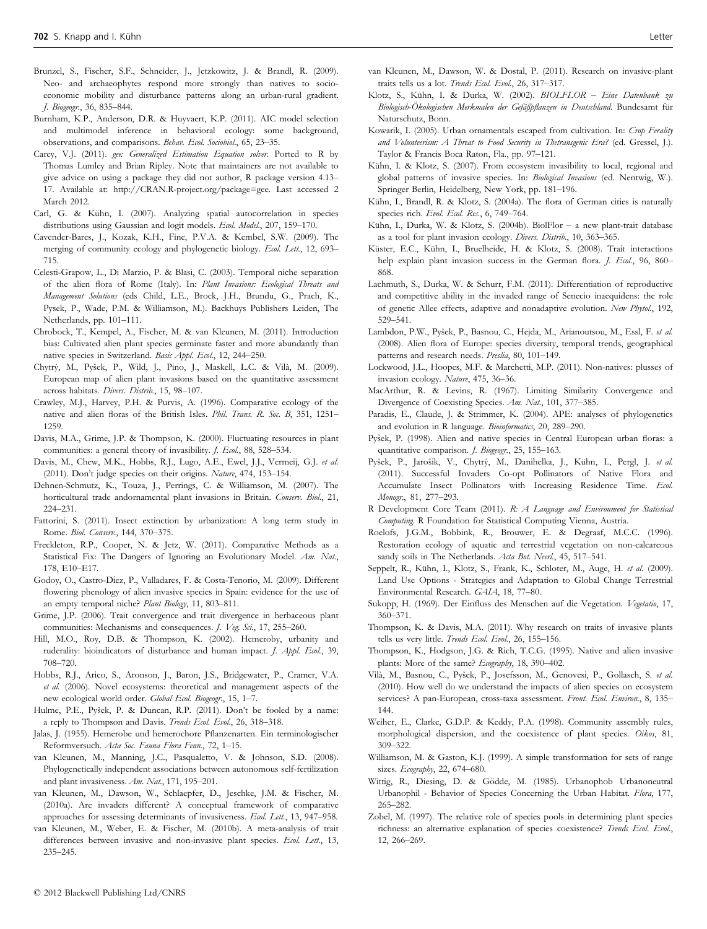- Brunzel, S., Fischer, S.F., Schneider, J., Jetzkowitz, J. & Brandl, R. (2009). Neo- and archaeophytes respond more strongly than natives to socioeconomic mobility and disturbance patterns along an urban-rural gradient. J. Biogeogr., 36, 835–844.
- Burnham, K.P., Anderson, D.R. & Huyvaert, K.P. (2011). AIC model selection and multimodel inference in behavioral ecology: some background, observations, and comparisons. Behav. Ecol. Sociobiol., 65, 23–35.
- Carey, V.J. (2011). gee: Generalized Estimation Equation solver. Ported to R by Thomas Lumley and Brian Ripley. Note that maintainers are not available to give advice on using a package they did not author, R package version 4.13– 17. Available at: http://CRAN.R-project.org/package=gee. Last accessed 2 March 2012.
- Carl, G. & Kühn, I. (2007). Analyzing spatial autocorrelation in species distributions using Gaussian and logit models. Ecol. Model., 207, 159–170.
- Cavender-Bares, J., Kozak, K.H., Fine, P.V.A. & Kembel, S.W. (2009). The merging of community ecology and phylogenetic biology. Ecol. Lett., 12, 693-715.
- Celesti-Grapow, L., Di Marzio, P. & Blasi, C. (2003). Temporal niche separation of the alien flora of Rome (Italy). In: Plant Invasions: Ecological Threats and Management Solutions (eds Child, L.E., Brock, J.H., Brundu, G., Prach, K., Pysek, P., Wade, P.M. & Williamson, M.). Backhuys Publishers Leiden, The Netherlands, pp. 101–111.
- Chrobock, T., Kempel, A., Fischer, M. & van Kleunen, M. (2011). Introduction bias: Cultivated alien plant species germinate faster and more abundantly than native species in Switzerland. Basic Appl. Ecol., 12, 244–250.
- Chytrý, M., Pyšek, P., Wild, J., Pino, J., Maskell, L.C. & Vilà, M. (2009). European map of alien plant invasions based on the quantitative assessment across habitats. Divers. Distrib., 15, 98–107.
- Crawley, M.J., Harvey, P.H. & Purvis, A. (1996). Comparative ecology of the native and alien floras of the British Isles. Phil. Trans. R. Soc. B, 351, 1251– 1259.
- Davis, M.A., Grime, J.P. & Thompson, K. (2000). Fluctuating resources in plant communities: a general theory of invasibility. *J. Ecol.*, 88, 528-534.
- Davis, M., Chew, M.K., Hobbs, R.J., Lugo, A.E., Ewel, J.J., Vermeij, G.J. et al. (2011). Don't judge species on their origins. Nature, 474, 153–154.
- Dehnen-Schmutz, K., Touza, J., Perrings, C. & Williamson, M. (2007). The horticultural trade andornamental plant invasions in Britain. Conserv. Biol., 21, 224–231.
- Fattorini, S. (2011). Insect extinction by urbanization: A long term study in Rome. Biol. Conserv., 144, 370–375.
- Freckleton, R.P., Cooper, N. & Jetz, W. (2011). Comparative Methods as a Statistical Fix: The Dangers of Ignoring an Evolutionary Model. Am. Nat., 178, E10–E17.
- Godoy, O., Castro-Díez, P., Valladares, F. & Costa-Tenorio, M. (2009). Different flowering phenology of alien invasive species in Spain: evidence for the use of an empty temporal niche? Plant Biology, 11, 803–811.
- Grime, J.P. (2006). Trait convergence and trait divergence in herbaceous plant communities: Mechanisms and consequences. *J. Veg. Sci.*, 17, 255–260.
- Hill, M.O., Roy, D.B. & Thompson, K. (2002). Hemeroby, urbanity and ruderality: bioindicators of disturbance and human impact. J. Appl. Ecol., 39, 708–720.
- Hobbs, R.J., Arico, S., Aronson, J., Baron, J.S., Bridgewater, P., Cramer, V.A. et al. (2006). Novel ecosystems: theoretical and management aspects of the new ecological world order. Global Ecol. Biogeogr., 15, 1–7.
- Hulme, P.E., Pyšek, P. & Duncan, R.P. (2011). Don't be fooled by a name: a reply to Thompson and Davis. Trends Ecol. Evol., 26, 318–318.
- Jalas, J. (1955). Hemerobe und hemerochore Pflanzenarten. Ein terminologischer Reformversuch. Acta Soc. Fauna Flora Fenn., 72, 1-15.
- van Kleunen, M., Manning, J.C., Pasqualetto, V. & Johnson, S.D. (2008). Phylogenetically independent associations between autonomous self-fertilization and plant invasiveness. Am. Nat., 171, 195–201.
- van Kleunen, M., Dawson, W., Schlaepfer, D., Jeschke, J.M. & Fischer, M. (2010a). Are invaders different? A conceptual framework of comparative approaches for assessing determinants of invasiveness. Ecol. Lett., 13, 947–958.
- van Kleunen, M., Weber, E. & Fischer, M. (2010b). A meta-analysis of trait differences between invasive and non-invasive plant species. Ecol. Lett., 13, 235–245.
- van Kleunen, M., Dawson, W. & Dostal, P. (2011). Research on invasive-plant traits tells us a lot. Trends Ecol. Evol., 26, 317–317.
- Klotz, S., Kühn, I. & Durka, W. (2002). BIOLFLOR Eine Datenbank zu Biologisch-Ökologischen Merkmalen der Gefäßpflanzen in Deutschland. Bundesamt für Naturschutz, Bonn.
- Kowarik, I. (2005). Urban ornamentals escaped from cultivation. In: Crop Ferality and Volunteerism: A Threat to Food Security in Thetransgenic Era? (ed. Gressel, J.). Taylor & Francis Boca Raton, Fla., pp. 97–121.
- Kühn, I. & Klotz, S. (2007). From ecosystem invasibility to local, regional and global patterns of invasive species. In: Biological Invasions (ed. Nentwig, W.). Springer Berlin, Heidelberg, New York, pp. 181–196.
- Kühn, I., Brandl, R. & Klotz, S. (2004a). The flora of German cities is naturally species rich. Evol. Ecol. Res., 6, 749-764.
- Kühn, I., Durka, W. & Klotz, S. (2004b). BiolFlor a new plant-trait database as a tool for plant invasion ecology. Divers. Distrib., 10, 363–365.
- Küster, E.C., Kühn, I., Bruelheide, H. & Klotz, S. (2008). Trait interactions help explain plant invasion success in the German flora. J. Ecol., 96, 860-868.
- Lachmuth, S., Durka, W. & Schurr, F.M. (2011). Differentiation of reproductive and competitive ability in the invaded range of Senecio inaequidens: the role of genetic Allee effects, adaptive and nonadaptive evolution. New Phytol., 192, 529–541.
- Lambdon, P.W., Pyšek, P., Basnou, C., Hejda, M., Arianoutsou, M., Essl, F. et al. (2008). Alien flora of Europe: species diversity, temporal trends, geographical patterns and research needs. Preslia, 80, 101–149.
- Lockwood, J.L., Hoopes, M.F. & Marchetti, M.P. (2011). Non-natives: plusses of invasion ecology. Nature, 475, 36–36.
- MacArthur, R. & Levins, R. (1967). Limiting Similarity Convergence and Divergence of Coexisting Species. Am. Nat., 101, 377-385.
- Paradis, E., Claude, J. & Strimmer, K. (2004). APE: analyses of phylogenetics and evolution in R language. Bioinformatics, 20, 289–290.
- Pyšek, P. (1998). Alien and native species in Central European urban floras: a quantitative comparison. J. Biogeogr., 25, 155–163.
- Pyšek, P., Jarošík, V., Chytrý, M., Danihelka, J., Kühn, I., Pergl, J. et al. (2011). Successful Invaders Co-opt Pollinators of Native Flora and Accumulate Insect Pollinators with Increasing Residence Time. Ecol. Monogr., 81, 277–293.
- R Development Core Team (2011). R: A Language and Environment for Statistical Computing. R Foundation for Statistical Computing Vienna, Austria.
- Roelofs, J.G.M., Bobbink, R., Brouwer, E. & Degraaf, M.C.C. (1996). Restoration ecology of aquatic and terrestrial vegetation on non-calcareous sandy soils in The Netherlands. Acta Bot. Neerl., 45, 517-541.
- Seppelt, R., Kühn, I., Klotz, S., Frank, K., Schloter, M., Auge, H. et al. (2009). Land Use Options - Strategies and Adaptation to Global Change Terrestrial Environmental Research. GAIA, 18, 77–80.
- Sukopp, H. (1969). Der Einfluss des Menschen auf die Vegetation. Vegetatio, 17, 360–371.
- Thompson, K. & Davis, M.A. (2011). Why research on traits of invasive plants tells us very little. Trends Ecol. Evol., 26, 155-156.
- Thompson, K., Hodgson, J.G. & Rich, T.C.G. (1995). Native and alien invasive plants: More of the same? Ecography, 18, 390–402.
- Vilà, M., Basnou, C., Pyšek, P., Josefsson, M., Genovesi, P., Gollasch, S. et al. (2010). How well do we understand the impacts of alien species on ecosystem services? A pan-European, cross-taxa assessment. Front. Ecol. Environ., 8, 135-144.
- Weiher, E., Clarke, G.D.P. & Keddy, P.A. (1998). Community assembly rules, morphological dispersion, and the coexistence of plant species. Oikos, 81, 309–322.
- Williamson, M. & Gaston, K.J. (1999). A simple transformation for sets of range sizes. Ecography, 22, 674-680.
- Wittig, R., Diesing, D. & Gödde, M. (1985). Urbanophob Urbanoneutral Urbanophil - Behavior of Species Concerning the Urban Habitat. Flora, 177, 265–282.
- Zobel, M. (1997). The relative role of species pools in determining plant species richness: an alternative explanation of species coexistence? Trends Ecol. Evol., 12, 266–269.